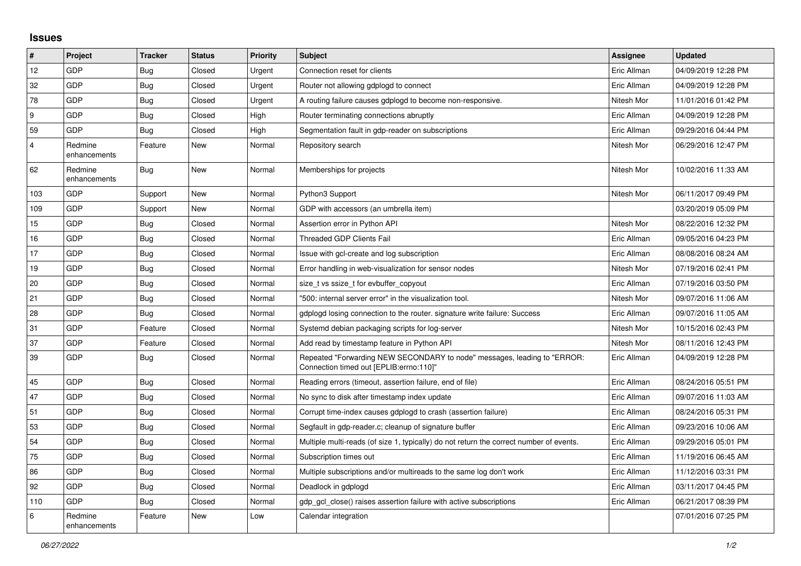## **Issues**

| #              | Project                 | <b>Tracker</b> | <b>Status</b> | <b>Priority</b> | Subject                                                                                                             | <b>Assignee</b> | <b>Updated</b>      |
|----------------|-------------------------|----------------|---------------|-----------------|---------------------------------------------------------------------------------------------------------------------|-----------------|---------------------|
| 12             | GDP                     | <b>Bug</b>     | Closed        | Urgent          | Connection reset for clients                                                                                        | Eric Allman     | 04/09/2019 12:28 PM |
| 32             | GDP                     | <b>Bug</b>     | Closed        | Urgent          | Router not allowing gdplogd to connect                                                                              | Eric Allman     | 04/09/2019 12:28 PM |
| 78             | <b>GDP</b>              | <b>Bug</b>     | Closed        | Urgent          | A routing failure causes gdplogd to become non-responsive.                                                          | Nitesh Mor      | 11/01/2016 01:42 PM |
| 9              | <b>GDP</b>              | Bug            | Closed        | High            | Router terminating connections abruptly                                                                             | Eric Allman     | 04/09/2019 12:28 PM |
| 59             | <b>GDP</b>              | <b>Bug</b>     | Closed        | High            | Segmentation fault in gdp-reader on subscriptions                                                                   | Eric Allman     | 09/29/2016 04:44 PM |
| $\overline{4}$ | Redmine<br>enhancements | Feature        | New           | Normal          | Repository search                                                                                                   | Nitesh Mor      | 06/29/2016 12:47 PM |
| 62             | Redmine<br>enhancements | Bug            | <b>New</b>    | Normal          | Memberships for projects                                                                                            | Nitesh Mor      | 10/02/2016 11:33 AM |
| 103            | <b>GDP</b>              | Support        | <b>New</b>    | Normal          | Python3 Support                                                                                                     | Nitesh Mor      | 06/11/2017 09:49 PM |
| 109            | <b>GDP</b>              | Support        | New           | Normal          | GDP with accessors (an umbrella item)                                                                               |                 | 03/20/2019 05:09 PM |
| 15             | <b>GDP</b>              | <b>Bug</b>     | Closed        | Normal          | Assertion error in Python API                                                                                       | Nitesh Mor      | 08/22/2016 12:32 PM |
| 16             | <b>GDP</b>              | <b>Bug</b>     | Closed        | Normal          | Threaded GDP Clients Fail                                                                                           | Eric Allman     | 09/05/2016 04:23 PM |
| 17             | GDP                     | <b>Bug</b>     | Closed        | Normal          | Issue with gcl-create and log subscription                                                                          | Eric Allman     | 08/08/2016 08:24 AM |
| 19             | <b>GDP</b>              | Bug            | Closed        | Normal          | Error handling in web-visualization for sensor nodes                                                                | Nitesh Mor      | 07/19/2016 02:41 PM |
| 20             | GDP                     | <b>Bug</b>     | Closed        | Normal          | size_t vs ssize_t for evbuffer_copyout                                                                              | Eric Allman     | 07/19/2016 03:50 PM |
| 21             | <b>GDP</b>              | <b>Bug</b>     | Closed        | Normal          | "500: internal server error" in the visualization tool.                                                             | Nitesh Mor      | 09/07/2016 11:06 AM |
| 28             | <b>GDP</b>              | <b>Bug</b>     | Closed        | Normal          | gdplogd losing connection to the router. signature write failure: Success                                           | Eric Allman     | 09/07/2016 11:05 AM |
| 31             | <b>GDP</b>              | Feature        | Closed        | Normal          | Systemd debian packaging scripts for log-server                                                                     | Nitesh Mor      | 10/15/2016 02:43 PM |
| 37             | <b>GDP</b>              | Feature        | Closed        | Normal          | Add read by timestamp feature in Python API                                                                         | Nitesh Mor      | 08/11/2016 12:43 PM |
| 39             | GDP                     | <b>Bug</b>     | Closed        | Normal          | Repeated "Forwarding NEW SECONDARY to node" messages, leading to "ERROR:<br>Connection timed out [EPLIB:errno:110]" | Eric Allman     | 04/09/2019 12:28 PM |
| 45             | GDP                     | <b>Bug</b>     | Closed        | Normal          | Reading errors (timeout, assertion failure, end of file)                                                            | Eric Allman     | 08/24/2016 05:51 PM |
| 47             | <b>GDP</b>              | <b>Bug</b>     | Closed        | Normal          | No sync to disk after timestamp index update                                                                        | Eric Allman     | 09/07/2016 11:03 AM |
| 51             | <b>GDP</b>              | Bug            | Closed        | Normal          | Corrupt time-index causes gdplogd to crash (assertion failure)                                                      | Eric Allman     | 08/24/2016 05:31 PM |
| 53             | <b>GDP</b>              | Bug            | Closed        | Normal          | Segfault in gdp-reader.c; cleanup of signature buffer                                                               | Eric Allman     | 09/23/2016 10:06 AM |
| 54             | <b>GDP</b>              | <b>Bug</b>     | Closed        | Normal          | Multiple multi-reads (of size 1, typically) do not return the correct number of events.                             | Eric Allman     | 09/29/2016 05:01 PM |
| 75             | <b>GDP</b>              | <b>Bug</b>     | Closed        | Normal          | Subscription times out                                                                                              | Eric Allman     | 11/19/2016 06:45 AM |
| 86             | <b>GDP</b>              | <b>Bug</b>     | Closed        | Normal          | Multiple subscriptions and/or multireads to the same log don't work                                                 | Eric Allman     | 11/12/2016 03:31 PM |
| 92             | <b>GDP</b>              | <b>Bug</b>     | Closed        | Normal          | Deadlock in gdplogd                                                                                                 | Eric Allman     | 03/11/2017 04:45 PM |
| 110            | <b>GDP</b>              | <b>Bug</b>     | Closed        | Normal          | gdp gcl close() raises assertion failure with active subscriptions                                                  | Eric Allman     | 06/21/2017 08:39 PM |
| 6              | Redmine<br>enhancements | Feature        | <b>New</b>    | Low             | Calendar integration                                                                                                |                 | 07/01/2016 07:25 PM |